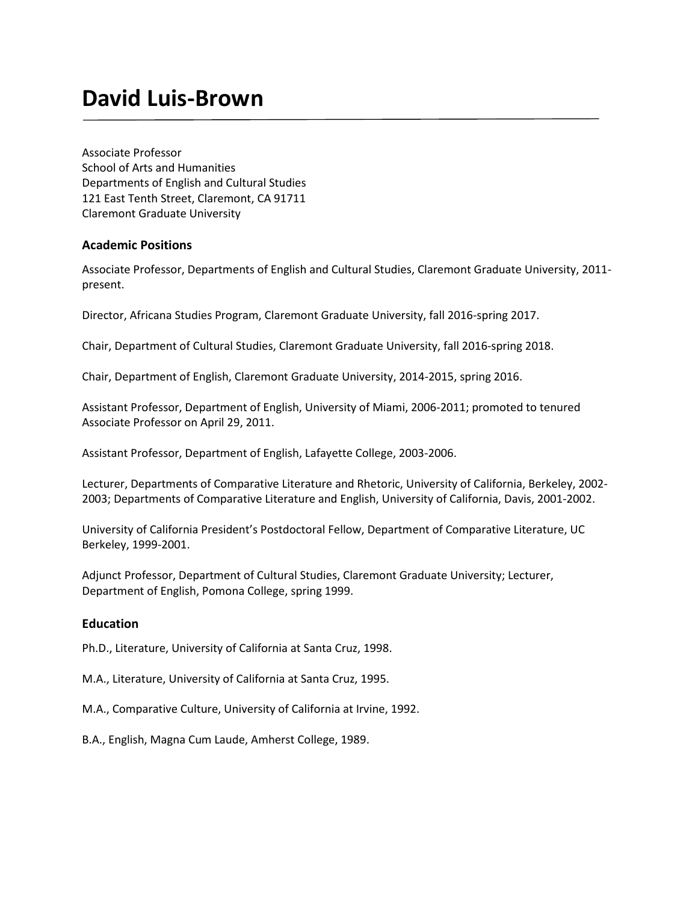# **David Luis-Brown**

Associate Professor School of Arts and Humanities Departments of English and Cultural Studies 121 East Tenth Street, Claremont, CA 91711 Claremont Graduate University

## **Academic Positions**

Associate Professor, Departments of English and Cultural Studies, Claremont Graduate University, 2011 present.

Director, Africana Studies Program, Claremont Graduate University, fall 2016-spring 2017.

Chair, Department of Cultural Studies, Claremont Graduate University, fall 2016-spring 2018.

Chair, Department of English, Claremont Graduate University, 2014-2015, spring 2016.

Assistant Professor, Department of English, University of Miami, 2006-2011; promoted to tenured Associate Professor on April 29, 2011.

Assistant Professor, Department of English, Lafayette College, 2003-2006.

Lecturer, Departments of Comparative Literature and Rhetoric, University of California, Berkeley, 2002- 2003; Departments of Comparative Literature and English, University of California, Davis, 2001-2002.

University of California President's Postdoctoral Fellow, Department of Comparative Literature, UC Berkeley, 1999-2001.

Adjunct Professor, Department of Cultural Studies, Claremont Graduate University; Lecturer, Department of English, Pomona College, spring 1999.

## **Education**

Ph.D., Literature, University of California at Santa Cruz, 1998.

M.A., Literature, University of California at Santa Cruz, 1995.

M.A., Comparative Culture, University of California at Irvine, 1992.

B.A., English, Magna Cum Laude, Amherst College, 1989.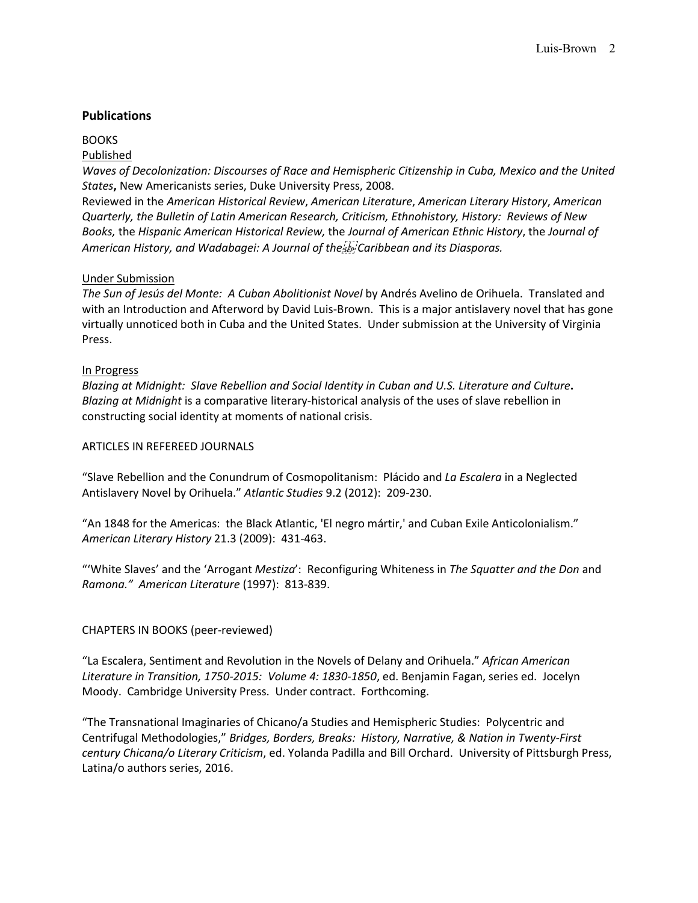## **Publications**

## **BOOKS**

## Published

*Waves of Decolonization: Discourses of Race and Hemispheric Citizenship in Cuba, Mexico and the United States***,** New Americanists series, Duke University Press, 2008.

Reviewed in the *American Historical Review*, *American Literature*, *American Literary History*, *American Quarterly, the Bulletin of Latin American Research, Criticism, Ethnohistory, History: Reviews of New Books,* the *Hispanic American Historical Review,* the *Journal of American Ethnic History*, the *Journal of*  American History, and Wadabagei: A Journal of the<sup>2</sup> *Ep*<sup>2</sup> Caribbean and its Diasporas.

## Under Submission

*The Sun of Jesús del Monte: A Cuban Abolitionist Novel* by Andrés Avelino de Orihuela. Translated and with an Introduction and Afterword by David Luis-Brown. This is a major antislavery novel that has gone virtually unnoticed both in Cuba and the United States. Under submission at the University of Virginia Press.

## In Progress

*Blazing at Midnight: Slave Rebellion and Social Identity in Cuban and U.S. Literature and Culture***.**  *Blazing at Midnight* is a comparative literary-historical analysis of the uses of slave rebellion in constructing social identity at moments of national crisis.

#### ARTICLES IN REFEREED JOURNALS

"Slave Rebellion and the Conundrum of Cosmopolitanism: Plácido and *La Escalera* in a Neglected Antislavery Novel by Orihuela." *Atlantic Studies* 9.2 (2012): 209-230.

"An 1848 for the Americas: the Black Atlantic, 'El negro mártir,' and Cuban Exile Anticolonialism." *American Literary History* 21.3 (2009): 431-463.

"'White Slaves' and the 'Arrogant *Mestiza*': Reconfiguring Whiteness in *The Squatter and the Don* and *Ramona." American Literature* (1997): 813-839.

## CHAPTERS IN BOOKS (peer-reviewed)

"La Escalera, Sentiment and Revolution in the Novels of Delany and Orihuela." *African American Literature in Transition, 1750-2015: Volume 4: 1830-1850*, ed. Benjamin Fagan, series ed. Jocelyn Moody. Cambridge University Press. Under contract. Forthcoming.

"The Transnational Imaginaries of Chicano/a Studies and Hemispheric Studies: Polycentric and Centrifugal Methodologies," *Bridges, Borders, Breaks: History, Narrative, & Nation in Twenty-First century Chicana/o Literary Criticism*, ed. Yolanda Padilla and Bill Orchard. University of Pittsburgh Press, Latina/o authors series, 2016.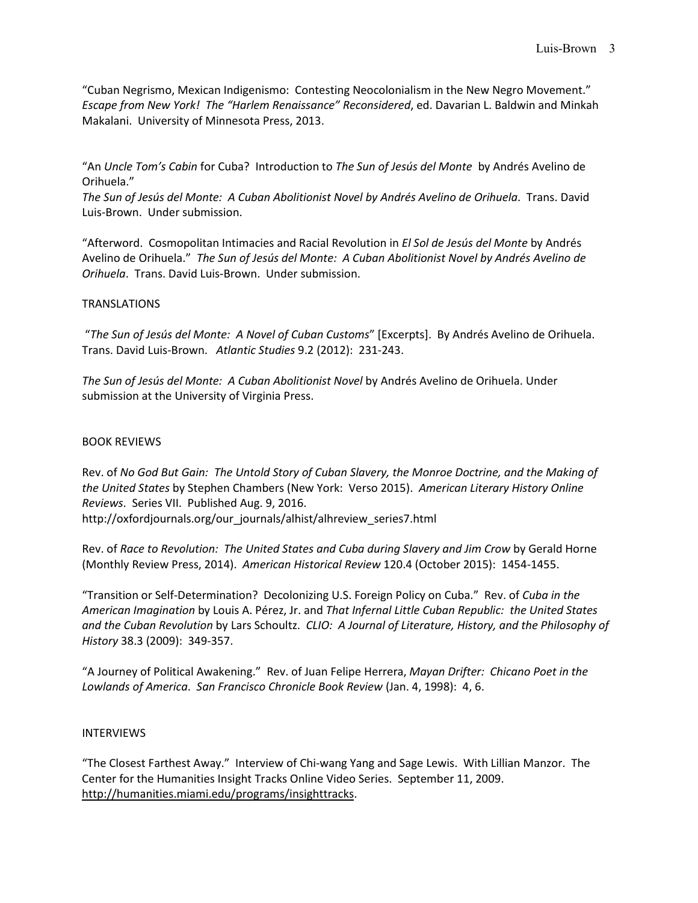"Cuban Negrismo, Mexican Indigenismo: Contesting Neocolonialism in the New Negro Movement." *Escape from New York! The "Harlem Renaissance" Reconsidered*, ed. Davarian L. Baldwin and Minkah Makalani. University of Minnesota Press, 2013.

"An *Uncle Tom's Cabin* for Cuba? Introduction to *The Sun of Jesús del Monte* by Andrés Avelino de Orihuela."

*The Sun of Jesús del Monte: A Cuban Abolitionist Novel by Andrés Avelino de Orihuela*. Trans. David Luis-Brown. Under submission.

"Afterword. Cosmopolitan Intimacies and Racial Revolution in *El Sol de Jesús del Monte* by Andrés Avelino de Orihuela." *The Sun of Jesús del Monte: A Cuban Abolitionist Novel by Andrés Avelino de Orihuela*. Trans. David Luis-Brown. Under submission.

## TRANSLATIONS

"*The Sun of Jesús del Monte: A Novel of Cuban Customs*" [Excerpts]. By Andrés Avelino de Orihuela. Trans. David Luis-Brown. *Atlantic Studies* 9.2 (2012): 231-243.

*The Sun of Jesús del Monte: A Cuban Abolitionist Novel* by Andrés Avelino de Orihuela. Under submission at the University of Virginia Press.

## BOOK REVIEWS

Rev. of *No God But Gain: The Untold Story of Cuban Slavery, the Monroe Doctrine, and the Making of the United States* by Stephen Chambers (New York: Verso 2015). *American Literary History Online Reviews*. Series VII. Published Aug. 9, 2016.

http://oxfordjournals.org/our\_journals/alhist/alhreview\_series7.html

Rev. of *Race to Revolution: The United States and Cuba during Slavery and Jim Crow* by Gerald Horne (Monthly Review Press, 2014). *American Historical Review* 120.4 (October 2015): 1454-1455.

"Transition or Self-Determination? Decolonizing U.S. Foreign Policy on Cuba." Rev. of *Cuba in the American Imagination* by Louis A. Pérez, Jr. and *That Infernal Little Cuban Republic: the United States and the Cuban Revolution* by Lars Schoultz. *CLIO: A Journal of Literature, History, and the Philosophy of History* 38.3 (2009): 349-357.

"A Journey of Political Awakening." Rev. of Juan Felipe Herrera, *Mayan Drifter: Chicano Poet in the Lowlands of America*. *San Francisco Chronicle Book Review* (Jan. 4, 1998): 4, 6.

## INTERVIEWS

"The Closest Farthest Away." Interview of Chi-wang Yang and Sage Lewis. With Lillian Manzor. The Center for the Humanities Insight Tracks Online Video Series. September 11, 2009. [http://humanities.miami.edu/programs/insighttracks.](http://humanities.miami.edu/programs/insighttracks)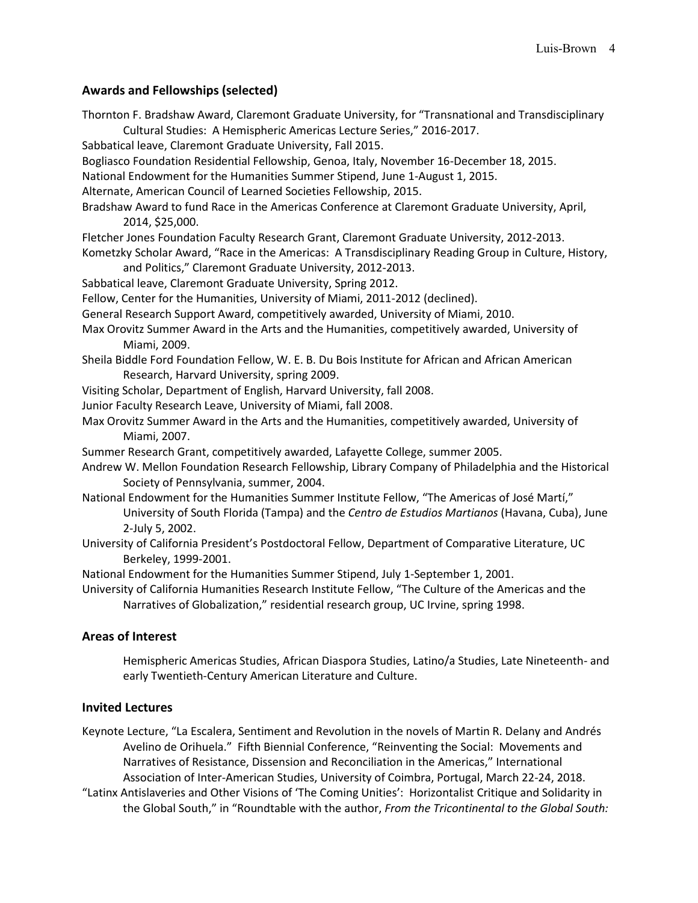## **Awards and Fellowships (selected)**

| Thornton F. Bradshaw Award, Claremont Graduate University, for "Transnational and Transdisciplinary<br>Cultural Studies: A Hemispheric Americas Lecture Series," 2016-2017. |
|-----------------------------------------------------------------------------------------------------------------------------------------------------------------------------|
| Sabbatical leave, Claremont Graduate University, Fall 2015.                                                                                                                 |
| Bogliasco Foundation Residential Fellowship, Genoa, Italy, November 16-December 18, 2015.                                                                                   |
| National Endowment for the Humanities Summer Stipend, June 1-August 1, 2015.                                                                                                |
| Alternate, American Council of Learned Societies Fellowship, 2015.                                                                                                          |
| Bradshaw Award to fund Race in the Americas Conference at Claremont Graduate University, April,<br>2014, \$25,000.                                                          |
| Fletcher Jones Foundation Faculty Research Grant, Claremont Graduate University, 2012-2013.                                                                                 |
| Kometzky Scholar Award, "Race in the Americas: A Transdisciplinary Reading Group in Culture, History,                                                                       |
| and Politics," Claremont Graduate University, 2012-2013.                                                                                                                    |
| Sabbatical leave, Claremont Graduate University, Spring 2012.                                                                                                               |
| Fellow, Center for the Humanities, University of Miami, 2011-2012 (declined).                                                                                               |
| General Research Support Award, competitively awarded, University of Miami, 2010.                                                                                           |
| Max Orovitz Summer Award in the Arts and the Humanities, competitively awarded, University of<br>Miami, 2009.                                                               |
| Sheila Biddle Ford Foundation Fellow, W. E. B. Du Bois Institute for African and African American                                                                           |
| Research, Harvard University, spring 2009.                                                                                                                                  |
| Visiting Scholar, Department of English, Harvard University, fall 2008.                                                                                                     |
| Junior Faculty Research Leave, University of Miami, fall 2008.                                                                                                              |
| Max Orovitz Summer Award in the Arts and the Humanities, competitively awarded, University of<br>Miami, 2007.                                                               |
| Summer Research Grant, competitively awarded, Lafayette College, summer 2005.                                                                                               |
| Andrew W. Mellon Foundation Research Fellowship, Library Company of Philadelphia and the Historical                                                                         |
| Society of Pennsylvania, summer, 2004.                                                                                                                                      |
| National Endowment for the Humanities Summer Institute Fellow, "The Americas of José Martí,"                                                                                |
| University of South Florida (Tampa) and the Centro de Estudios Martianos (Havana, Cuba), June                                                                               |
| 2-July 5, 2002.                                                                                                                                                             |
| University of California President's Postdoctoral Fellow, Department of Comparative Literature, UC                                                                          |
| Berkeley, 1999-2001.                                                                                                                                                        |
| National Endowment for the Humanities Summer Stipend, July 1-September 1, 2001.                                                                                             |
| University of California Humanities Research Institute Fellow, "The Culture of the Americas and the                                                                         |
| Narratives of Globalization," residential research group, UC Irvine, spring 1998.                                                                                           |

## **Areas of Interest**

Hemispheric Americas Studies, African Diaspora Studies, Latino/a Studies, Late Nineteenth- and early Twentieth-Century American Literature and Culture.

## **Invited Lectures**

Keynote Lecture, "La Escalera, Sentiment and Revolution in the novels of Martin R. Delany and Andrés Avelino de Orihuela." Fifth Biennial Conference, "Reinventing the Social: Movements and Narratives of Resistance, Dissension and Reconciliation in the Americas," International Association of Inter-American Studies, University of Coimbra, Portugal, March 22-24, 2018.

"Latinx Antislaveries and Other Visions of 'The Coming Unities': Horizontalist Critique and Solidarity in the Global South," in "Roundtable with the author, *From the Tricontinental to the Global South:*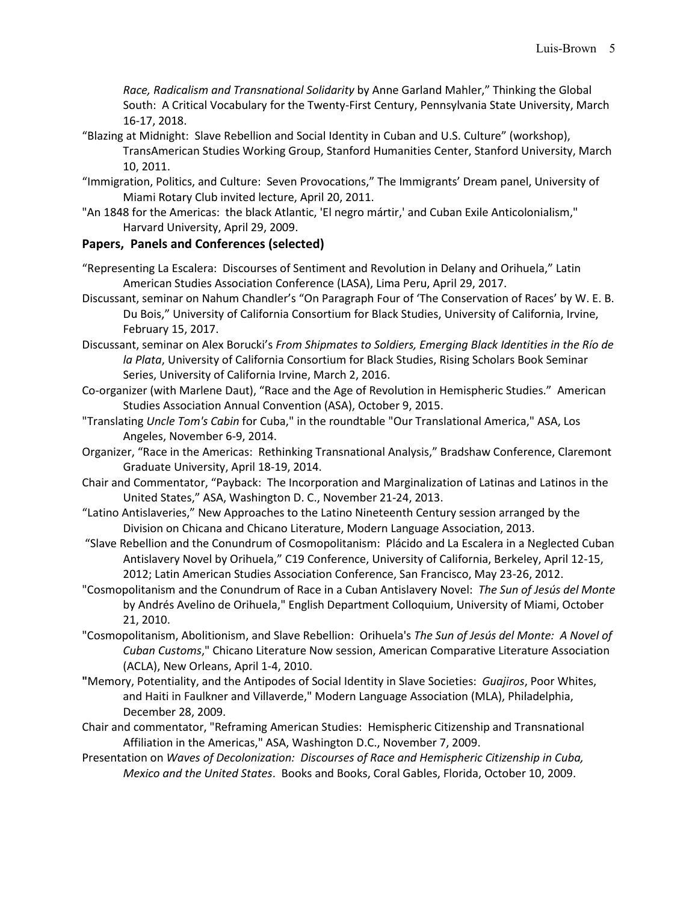*Race, Radicalism and Transnational Solidarity* by Anne Garland Mahler," Thinking the Global South: A Critical Vocabulary for the Twenty-First Century, Pennsylvania State University, March 16-17, 2018.

- "Blazing at Midnight: Slave Rebellion and Social Identity in Cuban and U.S. Culture" (workshop), TransAmerican Studies Working Group, Stanford Humanities Center, Stanford University, March 10, 2011.
- "Immigration, Politics, and Culture: Seven Provocations," The Immigrants' Dream panel, University of Miami Rotary Club invited lecture, April 20, 2011.
- "An 1848 for the Americas: the black Atlantic, 'El negro mártir,' and Cuban Exile Anticolonialism," Harvard University, April 29, 2009.

## **Papers, Panels and Conferences (selected)**

- "Representing La Escalera: Discourses of Sentiment and Revolution in Delany and Orihuela," Latin American Studies Association Conference (LASA), Lima Peru, April 29, 2017.
- Discussant, seminar on Nahum Chandler's "On Paragraph Four of 'The Conservation of Races' by W. E. B. Du Bois," University of California Consortium for Black Studies, University of California, Irvine, February 15, 2017.
- Discussant, seminar on Alex Borucki's *From Shipmates to Soldiers, Emerging Black Identities in the Río de la Plata*, University of California Consortium for Black Studies, Rising Scholars Book Seminar Series, University of California Irvine, March 2, 2016.
- Co-organizer (with Marlene Daut), "Race and the Age of Revolution in Hemispheric Studies." American Studies Association Annual Convention (ASA), October 9, 2015.
- "Translating *Uncle Tom's Cabin* for Cuba," in the roundtable "Our Translational America," ASA, Los Angeles, November 6-9, 2014.
- Organizer, "Race in the Americas: Rethinking Transnational Analysis," Bradshaw Conference, Claremont Graduate University, April 18-19, 2014.
- Chair and Commentator, "Payback: The Incorporation and Marginalization of Latinas and Latinos in the United States," ASA, Washington D. C., November 21-24, 2013.
- "Latino Antislaveries," New Approaches to the Latino Nineteenth Century session arranged by the Division on Chicana and Chicano Literature, Modern Language Association, 2013.
- "Slave Rebellion and the Conundrum of Cosmopolitanism: Plácido and La Escalera in a Neglected Cuban Antislavery Novel by Orihuela," C19 Conference, University of California, Berkeley, April 12-15, 2012; Latin American Studies Association Conference, San Francisco, May 23-26, 2012.
- "Cosmopolitanism and the Conundrum of Race in a Cuban Antislavery Novel: *The Sun of Jesús del Monte*  by Andrés Avelino de Orihuela," English Department Colloquium, University of Miami, October 21, 2010.
- "Cosmopolitanism, Abolitionism, and Slave Rebellion: Orihuela's *The Sun of Jesús del Monte: A Novel of Cuban Customs*," Chicano Literature Now session, American Comparative Literature Association (ACLA), New Orleans, April 1-4, 2010.
- **"**Memory, Potentiality, and the Antipodes of Social Identity in Slave Societies: *Guajiros*, Poor Whites, and Haiti in Faulkner and Villaverde," Modern Language Association (MLA), Philadelphia, December 28, 2009.
- Chair and commentator, "Reframing American Studies: Hemispheric Citizenship and Transnational Affiliation in the Americas," ASA, Washington D.C., November 7, 2009.
- Presentation on *Waves of Decolonization: Discourses of Race and Hemispheric Citizenship in Cuba, Mexico and the United States*. Books and Books, Coral Gables, Florida, October 10, 2009.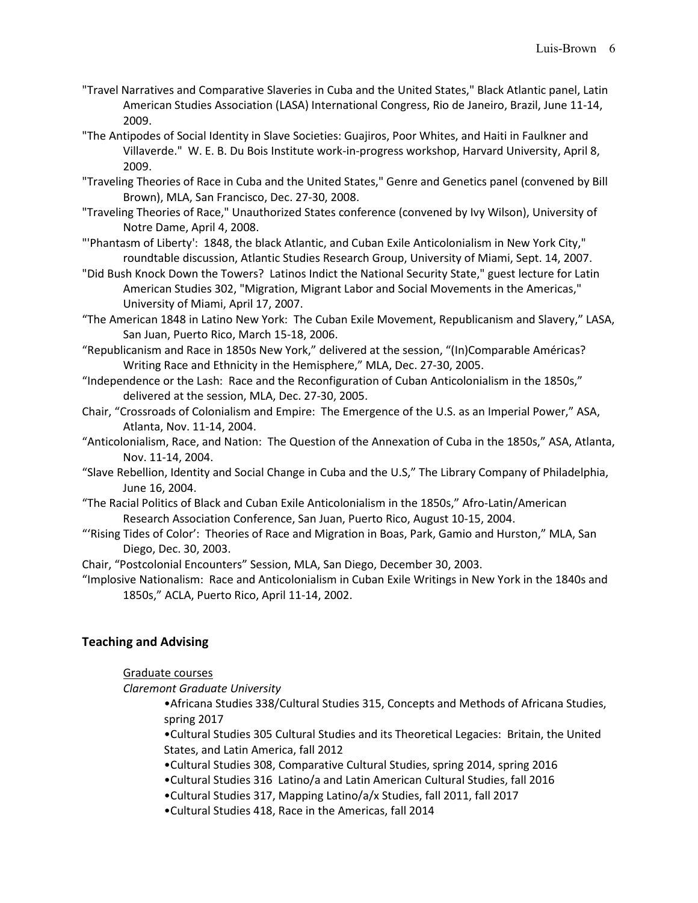- "Travel Narratives and Comparative Slaveries in Cuba and the United States," Black Atlantic panel, Latin American Studies Association (LASA) International Congress, Rio de Janeiro, Brazil, June 11-14, 2009.
- "The Antipodes of Social Identity in Slave Societies: Guajiros, Poor Whites, and Haiti in Faulkner and Villaverde." W. E. B. Du Bois Institute work-in-progress workshop, Harvard University, April 8, 2009.
- "Traveling Theories of Race in Cuba and the United States," Genre and Genetics panel (convened by Bill Brown), MLA, San Francisco, Dec. 27-30, 2008.
- "Traveling Theories of Race," Unauthorized States conference (convened by Ivy Wilson), University of Notre Dame, April 4, 2008.
- "'Phantasm of Liberty': 1848, the black Atlantic, and Cuban Exile Anticolonialism in New York City," roundtable discussion, Atlantic Studies Research Group, University of Miami, Sept. 14, 2007.
- "Did Bush Knock Down the Towers? Latinos Indict the National Security State," guest lecture for Latin American Studies 302, "Migration, Migrant Labor and Social Movements in the Americas," University of Miami, April 17, 2007.
- "The American 1848 in Latino New York: The Cuban Exile Movement, Republicanism and Slavery," LASA, San Juan, Puerto Rico, March 15-18, 2006.
- "Republicanism and Race in 1850s New York," delivered at the session, "(In)Comparable Américas? Writing Race and Ethnicity in the Hemisphere," MLA, Dec. 27-30, 2005.
- "Independence or the Lash: Race and the Reconfiguration of Cuban Anticolonialism in the 1850s," delivered at the session, MLA, Dec. 27-30, 2005.
- Chair, "Crossroads of Colonialism and Empire: The Emergence of the U.S. as an Imperial Power," ASA, Atlanta, Nov. 11-14, 2004.
- "Anticolonialism, Race, and Nation: The Question of the Annexation of Cuba in the 1850s," ASA, Atlanta, Nov. 11-14, 2004.
- "Slave Rebellion, Identity and Social Change in Cuba and the U.S," The Library Company of Philadelphia, June 16, 2004.
- "The Racial Politics of Black and Cuban Exile Anticolonialism in the 1850s," Afro-Latin/American Research Association Conference, San Juan, Puerto Rico, August 10-15, 2004.
- "'Rising Tides of Color': Theories of Race and Migration in Boas, Park, Gamio and Hurston," MLA, San Diego, Dec. 30, 2003.
- Chair, "Postcolonial Encounters" Session, MLA, San Diego, December 30, 2003.
- "Implosive Nationalism: Race and Anticolonialism in Cuban Exile Writings in New York in the 1840s and 1850s," ACLA, Puerto Rico, April 11-14, 2002.

# **Teaching and Advising**

## Graduate courses

*Claremont Graduate University*

•Africana Studies 338/Cultural Studies 315, Concepts and Methods of Africana Studies, spring 2017

•Cultural Studies 305 Cultural Studies and its Theoretical Legacies: Britain, the United States, and Latin America, fall 2012

- •Cultural Studies 308, Comparative Cultural Studies, spring 2014, spring 2016
- •Cultural Studies 316 Latino/a and Latin American Cultural Studies, fall 2016
- •Cultural Studies 317, Mapping Latino/a/x Studies, fall 2011, fall 2017
- •Cultural Studies 418, Race in the Americas, fall 2014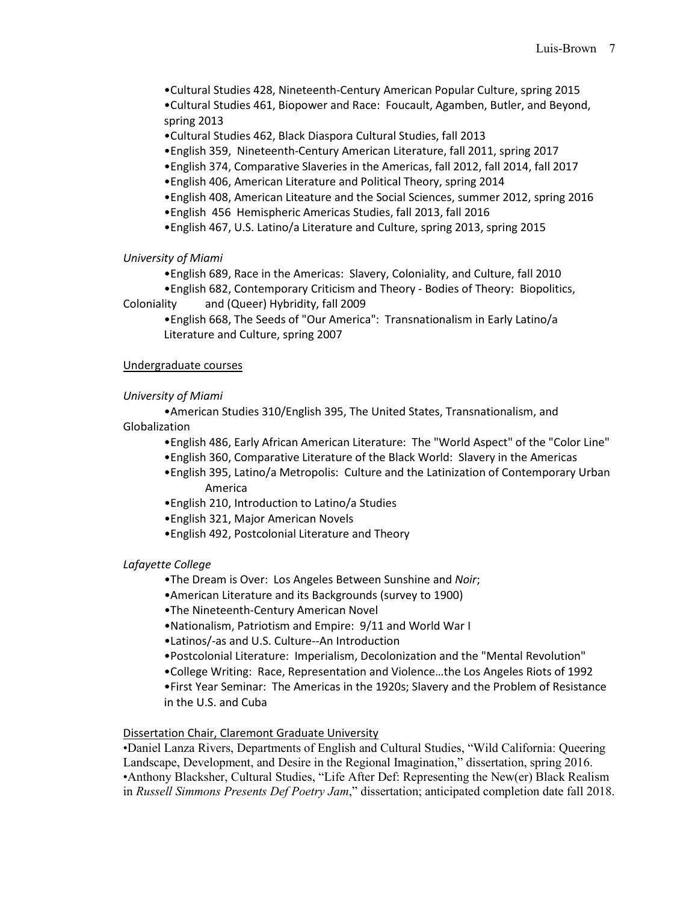•Cultural Studies 428, Nineteenth-Century American Popular Culture, spring 2015 •Cultural Studies 461, Biopower and Race: Foucault, Agamben, Butler, and Beyond, spring 2013

•Cultural Studies 462, Black Diaspora Cultural Studies, fall 2013

•English 359, Nineteenth-Century American Literature, fall 2011, spring 2017

- •English 374, Comparative Slaveries in the Americas, fall 2012, fall 2014, fall 2017
- •English 406, American Literature and Political Theory, spring 2014
- •English 408, American Liteature and the Social Sciences, summer 2012, spring 2016
- •English 456 Hemispheric Americas Studies, fall 2013, fall 2016
- •English 467, U.S. Latino/a Literature and Culture, spring 2013, spring 2015

## *University of Miami*

•English 689, Race in the Americas: Slavery, Coloniality, and Culture, fall 2010

•English 682, Contemporary Criticism and Theory - Bodies of Theory: Biopolitics, Coloniality and (Queer) Hybridity, fall 2009

•English 668, The Seeds of "Our America": Transnationalism in Early Latino/a Literature and Culture, spring 2007

## Undergraduate courses

## *University of Miami*

•American Studies 310/English 395, The United States, Transnationalism, and Globalization

•English 486, Early African American Literature: The "World Aspect" of the "Color Line"

- •English 360, Comparative Literature of the Black World: Slavery in the Americas
- •English 395, Latino/a Metropolis: Culture and the Latinization of Contemporary Urban America
- •English 210, Introduction to Latino/a Studies
- •English 321, Major American Novels
- •English 492, Postcolonial Literature and Theory

## *Lafayette College*

- •The Dream is Over: Los Angeles Between Sunshine and *Noir*;
- •American Literature and its Backgrounds (survey to 1900)
- •The Nineteenth-Century American Novel
- •Nationalism, Patriotism and Empire: 9/11 and World War I
- •Latinos/-as and U.S. Culture--An Introduction
- •Postcolonial Literature: Imperialism, Decolonization and the "Mental Revolution"
- •College Writing: Race, Representation and Violence…the Los Angeles Riots of 1992

•First Year Seminar: The Americas in the 1920s; Slavery and the Problem of Resistance in the U.S. and Cuba

## Dissertation Chair, Claremont Graduate University

•Daniel Lanza Rivers, Departments of English and Cultural Studies, "Wild California: Queering Landscape, Development, and Desire in the Regional Imagination," dissertation, spring 2016. •Anthony Blacksher, Cultural Studies, "Life After Def: Representing the New(er) Black Realism in *Russell Simmons Presents Def Poetry Jam*," dissertation; anticipated completion date fall 2018.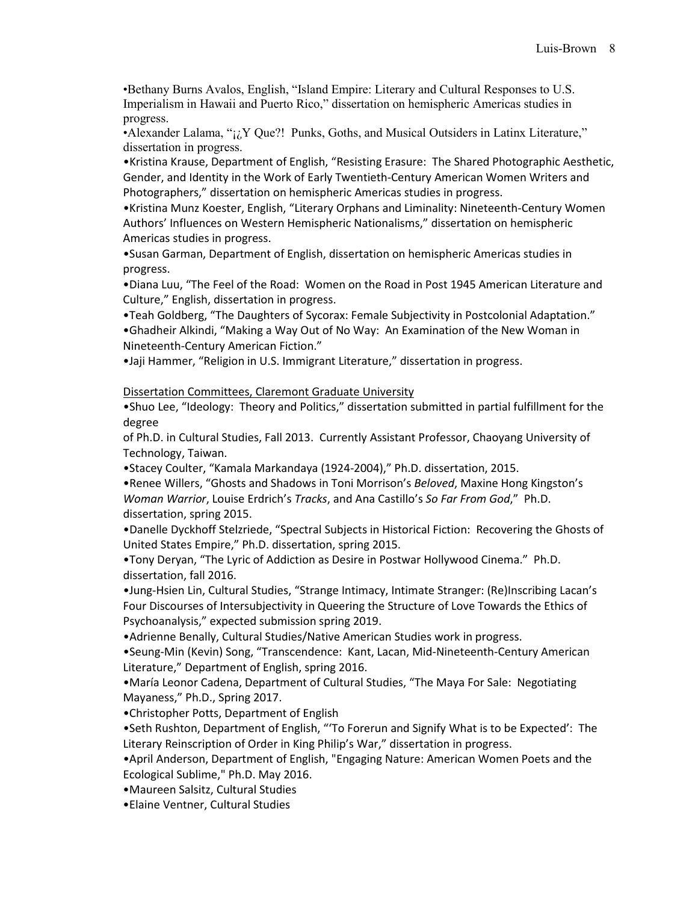•Bethany Burns Avalos, English, "Island Empire: Literary and Cultural Responses to U.S. Imperialism in Hawaii and Puerto Rico," dissertation on hemispheric Americas studies in progress.

•Alexander Lalama, " $i_i$  Que?! Punks, Goths, and Musical Outsiders in Latinx Literature," dissertation in progress.

•Kristina Krause, Department of English, "Resisting Erasure: The Shared Photographic Aesthetic, Gender, and Identity in the Work of Early Twentieth-Century American Women Writers and Photographers," dissertation on hemispheric Americas studies in progress.

•Kristina Munz Koester, English, "Literary Orphans and Liminality: Nineteenth-Century Women Authors' Influences on Western Hemispheric Nationalisms," dissertation on hemispheric Americas studies in progress.

•Susan Garman, Department of English, dissertation on hemispheric Americas studies in progress.

•Diana Luu, "The Feel of the Road: Women on the Road in Post 1945 American Literature and Culture," English, dissertation in progress.

•Teah Goldberg, "The Daughters of Sycorax: Female Subjectivity in Postcolonial Adaptation."

•Ghadheir Alkindi, "Making a Way Out of No Way: An Examination of the New Woman in Nineteenth-Century American Fiction."

•Jaji Hammer, "Religion in U.S. Immigrant Literature," dissertation in progress.

Dissertation Committees, Claremont Graduate University

•Shuo Lee, "Ideology: Theory and Politics," dissertation submitted in partial fulfillment for the degree

of Ph.D. in Cultural Studies, Fall 2013. Currently Assistant Professor, Chaoyang University of Technology, Taiwan.

•Stacey Coulter, "Kamala Markandaya (1924-2004)," Ph.D. dissertation, 2015.

•Renee Willers, "Ghosts and Shadows in Toni Morrison's *Beloved*, Maxine Hong Kingston's *Woman Warrior*, Louise Erdrich's *Tracks*, and Ana Castillo's *So Far From God*," Ph.D. dissertation, spring 2015.

•Danelle Dyckhoff Stelzriede, "Spectral Subjects in Historical Fiction: Recovering the Ghosts of United States Empire," Ph.D. dissertation, spring 2015.

•Tony Deryan, "The Lyric of Addiction as Desire in Postwar Hollywood Cinema." Ph.D. dissertation, fall 2016.

•Jung-Hsien Lin, Cultural Studies, "Strange Intimacy, Intimate Stranger: (Re)Inscribing Lacan's Four Discourses of Intersubjectivity in Queering the Structure of Love Towards the Ethics of Psychoanalysis," expected submission spring 2019.

•Adrienne Benally, Cultural Studies/Native American Studies work in progress.

•Seung-Min (Kevin) Song, "Transcendence: Kant, Lacan, Mid-Nineteenth-Century American Literature," Department of English, spring 2016.

•María Leonor Cadena, Department of Cultural Studies, "The Maya For Sale: Negotiating Mayaness," Ph.D., Spring 2017.

•Christopher Potts, Department of English

•Seth Rushton, Department of English, "'To Forerun and Signify What is to be Expected': The Literary Reinscription of Order in King Philip's War," dissertation in progress.

•April Anderson, Department of English, "Engaging Nature: American Women Poets and the Ecological Sublime," Ph.D. May 2016.

•Maureen Salsitz, Cultural Studies

•Elaine Ventner, Cultural Studies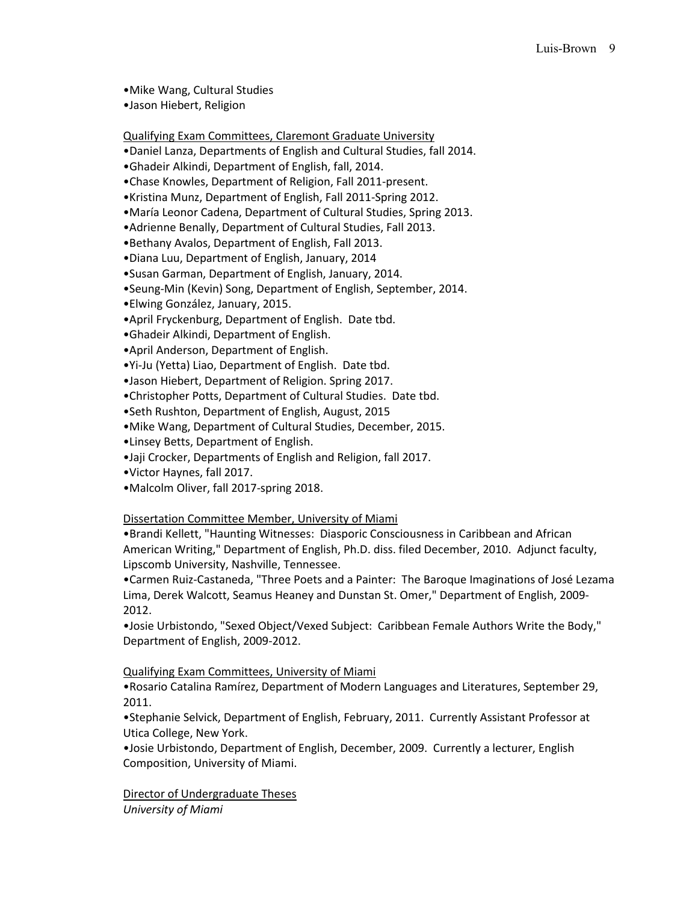- •Mike Wang, Cultural Studies
- •Jason Hiebert, Religion

Qualifying Exam Committees, Claremont Graduate University

- •Daniel Lanza, Departments of English and Cultural Studies, fall 2014.
- •Ghadeir Alkindi, Department of English, fall, 2014.
- •Chase Knowles, Department of Religion, Fall 2011-present.
- •Kristina Munz, Department of English, Fall 2011-Spring 2012.
- •María Leonor Cadena, Department of Cultural Studies, Spring 2013.
- •Adrienne Benally, Department of Cultural Studies, Fall 2013.
- •Bethany Avalos, Department of English, Fall 2013.
- •Diana Luu, Department of English, January, 2014
- •Susan Garman, Department of English, January, 2014.
- •Seung-Min (Kevin) Song, Department of English, September, 2014.
- •Elwing González, January, 2015.
- •April Fryckenburg, Department of English. Date tbd.
- •Ghadeir Alkindi, Department of English.
- •April Anderson, Department of English.
- •Yi-Ju (Yetta) Liao, Department of English. Date tbd.
- •Jason Hiebert, Department of Religion. Spring 2017.
- •Christopher Potts, Department of Cultural Studies. Date tbd.
- •Seth Rushton, Department of English, August, 2015
- •Mike Wang, Department of Cultural Studies, December, 2015.
- •Linsey Betts, Department of English.
- •Jaji Crocker, Departments of English and Religion, fall 2017.
- •Victor Haynes, fall 2017.
- •Malcolm Oliver, fall 2017-spring 2018.

## Dissertation Committee Member, University of Miami

•Brandi Kellett, "Haunting Witnesses: Diasporic Consciousness in Caribbean and African American Writing," Department of English, Ph.D. diss. filed December, 2010. Adjunct faculty, Lipscomb University, Nashville, Tennessee.

•Carmen Ruiz-Castaneda, "Three Poets and a Painter: The Baroque Imaginations of José Lezama Lima, Derek Walcott, Seamus Heaney and Dunstan St. Omer," Department of English, 2009- 2012.

•Josie Urbistondo, "Sexed Object/Vexed Subject: Caribbean Female Authors Write the Body," Department of English, 2009-2012.

## Qualifying Exam Committees, University of Miami

•Rosario Catalina Ramírez, Department of Modern Languages and Literatures, September 29, 2011.

•Stephanie Selvick, Department of English, February, 2011. Currently Assistant Professor at Utica College, New York.

•Josie Urbistondo, Department of English, December, 2009. Currently a lecturer, English Composition, University of Miami.

Director of Undergraduate Theses *University of Miami*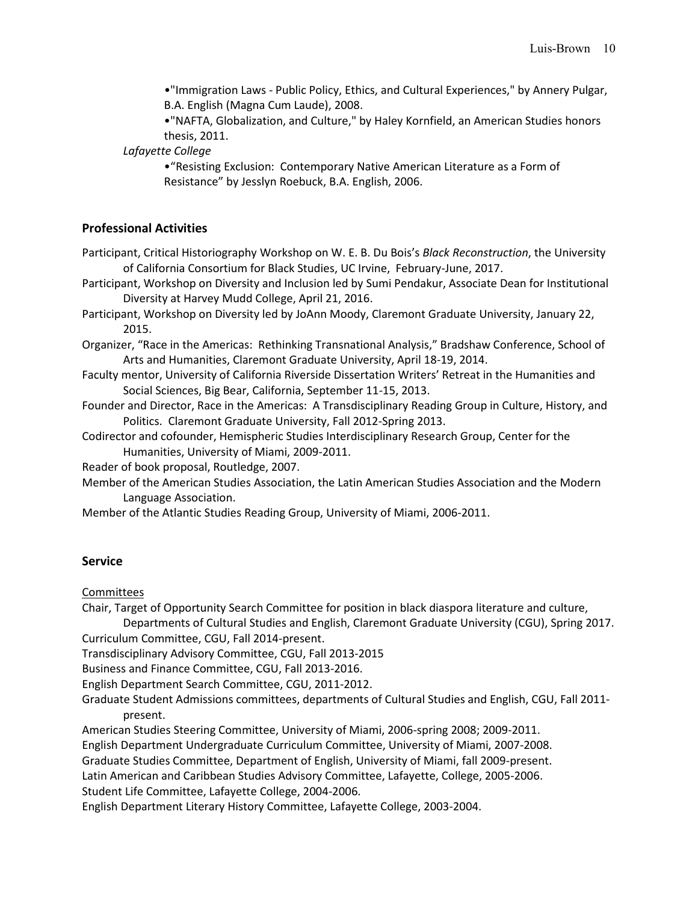•"Immigration Laws - Public Policy, Ethics, and Cultural Experiences," by Annery Pulgar, B.A. English (Magna Cum Laude), 2008.

•"NAFTA, Globalization, and Culture," by Haley Kornfield, an American Studies honors thesis, 2011.

*Lafayette College*

•"Resisting Exclusion: Contemporary Native American Literature as a Form of Resistance" by Jesslyn Roebuck, B.A. English, 2006.

## **Professional Activities**

Participant, Critical Historiography Workshop on W. E. B. Du Bois's *Black Reconstruction*, the University of California Consortium for Black Studies, UC Irvine, February-June, 2017.

Participant, Workshop on Diversity and Inclusion led by Sumi Pendakur, Associate Dean for Institutional Diversity at Harvey Mudd College, April 21, 2016.

Participant, Workshop on Diversity led by JoAnn Moody, Claremont Graduate University, January 22, 2015.

Organizer, "Race in the Americas: Rethinking Transnational Analysis," Bradshaw Conference, School of Arts and Humanities, Claremont Graduate University, April 18-19, 2014.

Faculty mentor, University of California Riverside Dissertation Writers' Retreat in the Humanities and Social Sciences, Big Bear, California, September 11-15, 2013.

Founder and Director, Race in the Americas: A Transdisciplinary Reading Group in Culture, History, and Politics. Claremont Graduate University, Fall 2012-Spring 2013.

Codirector and cofounder, Hemispheric Studies Interdisciplinary Research Group, Center for the Humanities, University of Miami, 2009-2011.

Reader of book proposal, Routledge, 2007.

Member of the American Studies Association, the Latin American Studies Association and the Modern Language Association.

Member of the Atlantic Studies Reading Group, University of Miami, 2006-2011.

## **Service**

Committees

Chair, Target of Opportunity Search Committee for position in black diaspora literature and culture,

Departments of Cultural Studies and English, Claremont Graduate University (CGU), Spring 2017. Curriculum Committee, CGU, Fall 2014-present.

Transdisciplinary Advisory Committee, CGU, Fall 2013-2015

Business and Finance Committee, CGU, Fall 2013-2016.

English Department Search Committee, CGU, 2011-2012.

Graduate Student Admissions committees, departments of Cultural Studies and English, CGU, Fall 2011 present.

American Studies Steering Committee, University of Miami, 2006-spring 2008; 2009-2011.

English Department Undergraduate Curriculum Committee, University of Miami, 2007-2008.

Graduate Studies Committee, Department of English, University of Miami, fall 2009-present.

Latin American and Caribbean Studies Advisory Committee, Lafayette, College, 2005-2006. Student Life Committee, Lafayette College, 2004-2006.

English Department Literary History Committee, Lafayette College, 2003-2004.